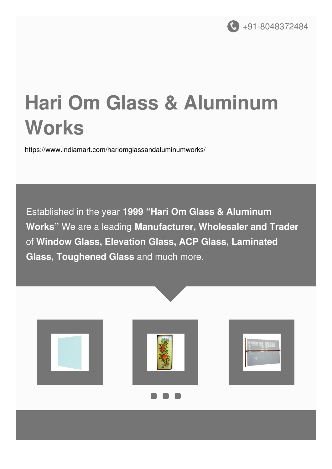

# **Hari Om Glass & Aluminum Works**

<https://www.indiamart.com/hariomglassandaluminumworks/>

Established in the year **1999 "Hari Om Glass & Aluminum Works"** We are a leading **Manufacturer, Wholesaler and Trader** of **Window Glass, Elevation Glass, ACP Glass, Laminated Glass, Toughened Glass** and much more.

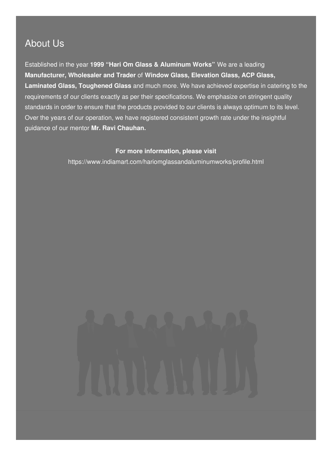### About Us

Established in the year **1999 "Hari Om Glass & Aluminum Works"** We are a leading **Manufacturer, Wholesaler and Trader** of **Window Glass, Elevation Glass, ACP Glass, Laminated Glass, Toughened Glass** and much more. We have achieved expertise in catering to the requirements of our clients exactly as per their specifications. We emphasize on stringent quality standards in order to ensure that the products provided to our clients is always optimum to its level. Over the years of our operation, we have registered consistent growth rate under the insightful guidance of our mentor **Mr. Ravi Chauhan.**

#### **For more information, please visit**

<https://www.indiamart.com/hariomglassandaluminumworks/profile.html>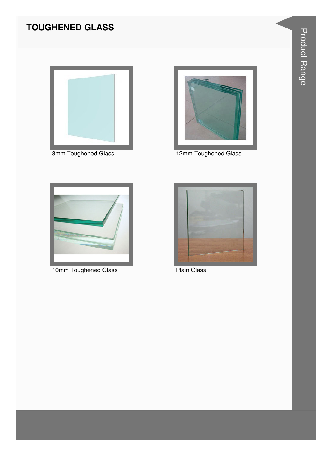### **TOUGHENED GLASS**





8mm Toughened Glass 12mm Toughened Glass



10mm Toughened Glass **Plain Glass** 

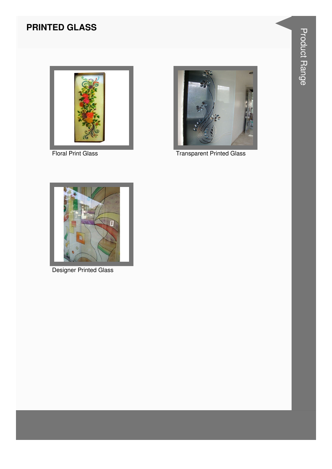#### **PRINTED GLASS**





Floral Print Glass Transparent Printed Glass



Designer Printed Glass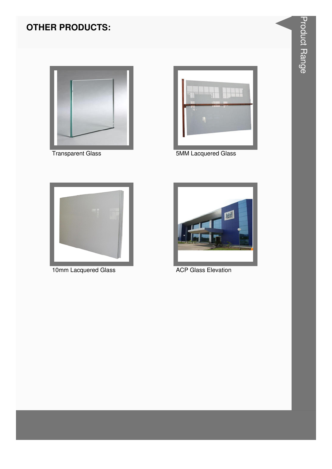### **OTHER PRODUCTS:**





Transparent Glass **1988** 5MM Lacquered Glass



10mm Lacquered Glass **ACP Glass Elevation** 

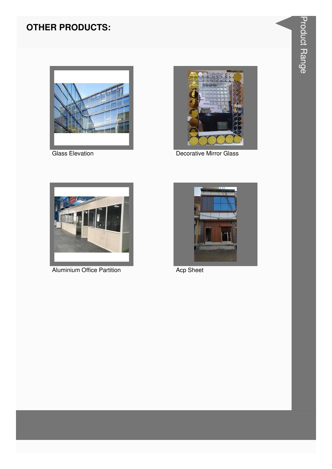#### **OTHER PRODUCTS:**





**Glass Elevation** Decorative Mirror Glass



Aluminium Office Partition **Acp Sheet** 

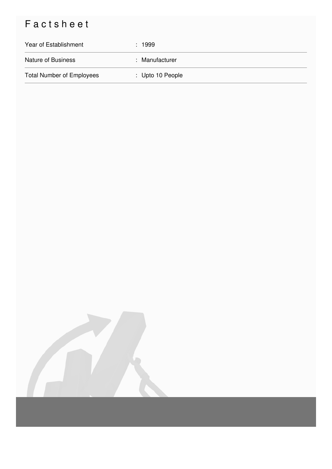## Factsheet

| Year of Establishment            | : 1999           |
|----------------------------------|------------------|
| <b>Nature of Business</b>        | : Manufacturer   |
| <b>Total Number of Employees</b> | : Upto 10 People |